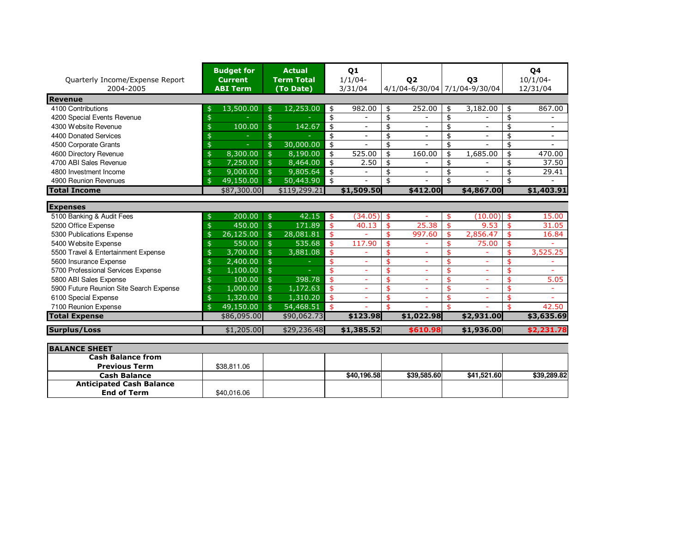| Quarterly Income/Expense Report<br>2004-2005 | <b>Budget for</b><br><b>Current</b><br><b>ABI Term</b> | <b>Actual</b><br><b>Term Total</b><br>(To Date) |             | 01<br>$1/1/04-$<br>3/31/04 | 02<br>4/1/04-6/30/04 7/1/04-9/30/04 |    | 03                       | 04<br>$10/1/04 -$<br>12/31/04 |
|----------------------------------------------|--------------------------------------------------------|-------------------------------------------------|-------------|----------------------------|-------------------------------------|----|--------------------------|-------------------------------|
| <b>Revenue</b>                               |                                                        |                                                 |             |                            |                                     |    |                          |                               |
| 4100 Contributions                           | 13,500.00<br>\$                                        | 12,253.00<br>$\frac{4}{5}$                      | \$          | 982.00                     | 252.00<br>\$                        | \$ | 3,182.00                 | \$<br>867.00                  |
| 4200 Special Events Revenue                  | \$                                                     | \$                                              | \$          |                            | \$<br>$\overline{\phantom{a}}$      | \$ |                          | \$                            |
| 4300 Website Revenue                         | 100.00<br>\$                                           | $\ddot{\mathsf{s}}$<br>142.67                   | \$          |                            | \$<br>$\overline{\phantom{a}}$      | \$ | ۰                        | \$                            |
| 4400 Donated Services                        |                                                        | \$                                              | \$          | $\overline{\phantom{a}}$   | \$<br>$\overline{\phantom{a}}$      | \$ | $\overline{\phantom{0}}$ | \$                            |
| 4500 Corporate Grants                        | \$<br>u,                                               | $\frac{1}{2}$<br>30,000.00                      | \$          |                            | \$                                  | \$ |                          | \$                            |
| 4600 Directory Revenue                       | 8,300.00<br>\$                                         | $\hat{z}$<br>8,190.00                           | \$          | 525.00                     | \$<br>160.00                        | \$ | 1,685.00                 | \$<br>470.00                  |
| 4700 ABI Sales Revenue                       | 7,250.00<br>\$                                         | 8,464.00<br>$\frac{4}{5}$                       | \$          | 2.50                       | \$                                  | \$ |                          | \$<br>37.50                   |
| 4800 Investment Income                       | \$<br>9,000.00                                         | $\frac{1}{2}$<br>9,805.64                       | \$          |                            | \$                                  | \$ |                          | \$<br>29.41                   |
| 4900 Reunion Revenues                        | 49,150.00<br>\$                                        | 50,443.90<br>$\mathfrak{s}$                     | \$          |                            | \$                                  | \$ |                          | \$                            |
| <b>Total Income</b>                          | \$87,300.00                                            | \$119,299.21                                    |             | \$1,509.50                 | \$412.00                            |    | \$4,867.00               | \$1,403.91                    |
| <b>Expenses</b>                              |                                                        |                                                 |             |                            |                                     |    |                          |                               |
| 5100 Banking & Audit Fees                    | 200.00<br>\$                                           | $\frac{4}{5}$                                   | 42.15<br>\$ | (34.05)                    | $\mathbf{\hat{5}}$<br>÷             | \$ | (10.00)                  | \$<br>15.00                   |
| 5200 Office Expense                          | 450.00<br>\$                                           | $\mathfrak{S}$<br>171.89                        | \$          | 40.13                      | 25.38<br>\$                         | \$ | 9.53                     | \$<br>31.05                   |
| 5300 Publications Expense                    | 26,125.00<br>\$                                        | 28,081.81<br>$\frac{4}{5}$                      | \$          |                            | \$<br>997.60                        | \$ | 2,856.47                 | \$<br>16.84                   |
| 5400 Website Expense                         | 550.00<br>\$                                           | $\ddot{\mathsf{s}}$<br>535.68                   | \$          | 117.90                     |                                     | \$ | 75.00                    | \$                            |
| 5500 Travel & Entertainment Expense          | 3,700.00<br>\$                                         | $\ddot{\mathsf{s}}$<br>3,881.08                 | \$          | $\equiv$                   | \$<br>÷,                            | \$ |                          | \$<br>3,525.25                |
| 5600 Insurance Expense                       | 2,400.00<br>\$                                         | \$                                              | ፋ           |                            | \$<br>÷,                            | ፍ  | $\equiv$                 | \$                            |
| 5700 Professional Services Expense           | 1,100.00<br>\$                                         | $\ddot{\mathsf{s}}$                             | \$          |                            | \$                                  | \$ |                          | \$                            |
| 5800 ABI Sales Expense                       | 100.00<br>\$                                           | $\ddot{\mathsf{s}}$<br>398.78                   | \$          |                            | \$<br>÷,                            | \$ |                          | \$<br>5.05                    |
| 5900 Future Reunion Site Search Expense      | \$<br>1,000.00                                         | $\ddot{\mathsf{s}}$<br>1,172.63                 |             |                            | \$                                  | \$ |                          | \$                            |
| 6100 Special Expense                         | \$<br>1,320.00                                         | $\ddot{\mathsf{s}}$<br>1,310.20                 | \$          | ÷                          | \$<br>÷,                            | \$ | ٠                        | \$                            |
| 7100 Reunion Expense                         | \$<br>49,150.00                                        | $\frac{1}{2}$<br>54,468.51                      | \$          |                            | \$                                  | ¢  |                          | \$<br>42.50                   |
| <b>Total Expense</b>                         | \$86,095.00                                            | \$90,062.73                                     |             | \$123.98                   | \$1,022.98                          |    | \$2,931.00               | \$3,635.69                    |
| <b>Surplus/Loss</b>                          | \$1,205.00                                             | \$29,236.48                                     |             | \$1,385.52                 | \$610.98                            |    | \$1,936.00               | \$2,231.78                    |

| <b>BALANCE SHEET</b>            |             |             |             |             |             |
|---------------------------------|-------------|-------------|-------------|-------------|-------------|
| <b>Cash Balance from</b>        |             |             |             |             |             |
| <b>Previous Term</b>            | \$38.811.06 |             |             |             |             |
| <b>Cash Balance</b>             |             | \$40,196,58 | \$39.585.60 | \$41.521.60 | \$39,289.82 |
| <b>Anticipated Cash Balance</b> |             |             |             |             |             |
| <b>End of Term</b>              | \$40,016.06 |             |             |             |             |
|                                 |             |             |             |             |             |